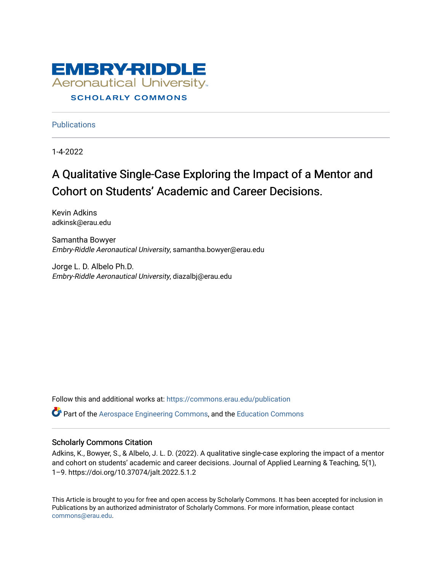

**Publications** 

1-4-2022

# A Qualitative Single-Case Exploring the Impact of a Mentor and Cohort on Students' Academic and Career Decisions.

Kevin Adkins adkinsk@erau.edu

Samantha Bowyer Embry-Riddle Aeronautical University, samantha.bowyer@erau.edu

Jorge L. D. Albelo Ph.D. Embry-Riddle Aeronautical University, diazalbj@erau.edu

Follow this and additional works at: [https://commons.erau.edu/publication](https://commons.erau.edu/publication?utm_source=commons.erau.edu%2Fpublication%2F1690&utm_medium=PDF&utm_campaign=PDFCoverPages)  Part of the [Aerospace Engineering Commons](http://network.bepress.com/hgg/discipline/218?utm_source=commons.erau.edu%2Fpublication%2F1690&utm_medium=PDF&utm_campaign=PDFCoverPages), and the [Education Commons](http://network.bepress.com/hgg/discipline/784?utm_source=commons.erau.edu%2Fpublication%2F1690&utm_medium=PDF&utm_campaign=PDFCoverPages)

#### Scholarly Commons Citation

Adkins, K., Bowyer, S., & Albelo, J. L. D. (2022). A qualitative single-case exploring the impact of a mentor and cohort on students' academic and career decisions. Journal of Applied Learning & Teaching, 5(1), 1–9. https://doi.org/10.37074/jalt.2022.5.1.2

This Article is brought to you for free and open access by Scholarly Commons. It has been accepted for inclusion in Publications by an authorized administrator of Scholarly Commons. For more information, please contact [commons@erau.edu](mailto:commons@erau.edu).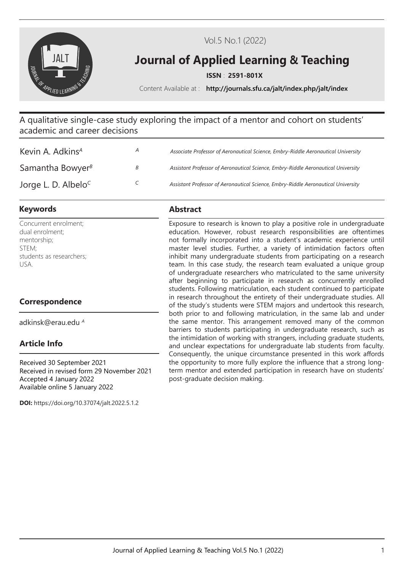

Vol.5 No.1 (2022)

# **Journal of Applied Learning & Teaching**

**ISSN** : **2591-801X**

Content Available at : **http://journals.sfu.ca/jalt/index.php/jalt/index**

A qualitative single-case study exploring the impact of a mentor and cohort on students' academic and career decisions

| Kevin A. Adkins <sup>A</sup>                 | $\mathcal{A}$ | Associate Professor of Aeronautical Science, Embry-Riddle Aeronautical University |
|----------------------------------------------|---------------|-----------------------------------------------------------------------------------|
| Samantha Bowyer $\beta$                      | В             | Assistant Professor of Aeronautical Science, Embry-Riddle Aeronautical University |
| Jorge L. D. Albelo <sup><math>C</math></sup> |               | Assistant Professor of Aeronautical Science, Embry-Riddle Aeronautical University |

# **Keywords Abstract**

Concurrent enrolment; dual enrolment; mentorship; STEM; students as researchers; USA.

# **Correspondence**

adkinsk@erau.edu *<sup>A</sup>*

# **Article Info**

Received 30 September 2021 Received in revised form 29 November 2021 Accepted 4 January 2022 Available online 5 January 2022

**DOI:** https://doi.org/10.37074/jalt.2022.5.1.2

Exposure to research is known to play a positive role in undergraduate education. However, robust research responsibilities are oftentimes not formally incorporated into a student's academic experience until master level studies. Further, a variety of intimidation factors often inhibit many undergraduate students from participating on a research team. In this case study, the research team evaluated a unique group of undergraduate researchers who matriculated to the same university after beginning to participate in research as concurrently enrolled students. Following matriculation, each student continued to participate in research throughout the entirety of their undergraduate studies. All of the study's students were STEM majors and undertook this research, both prior to and following matriculation, in the same lab and under the same mentor. This arrangement removed many of the common barriers to students participating in undergraduate research, such as the intimidation of working with strangers, including graduate students, and unclear expectations for undergraduate lab students from faculty. Consequently, the unique circumstance presented in this work affords the opportunity to more fully explore the influence that a strong longterm mentor and extended participation in research have on students' post-graduate decision making.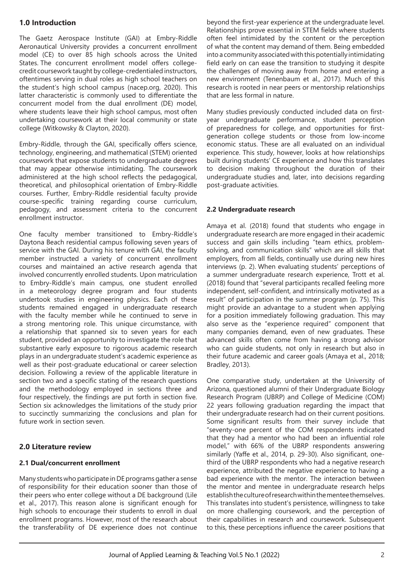# **1.0 Introduction**

The Gaetz Aerospace Institute (GAI) at Embry-Riddle Aeronautical University provides a concurrent enrollment model (CE) to over 85 high schools across the United States. The concurrent enrollment model offers collegecredit coursework taught by college-credentialed instructors, oftentimes serving in dual roles as high school teachers on the student's high school campus (nacep.org, 2020). This latter characteristic is commonly used to differentiate the concurrent model from the dual enrollment (DE) model, where students leave their high school campus, most often undertaking coursework at their local community or state college (Witkowsky & Clayton, 2020).

Embry-Riddle, through the GAI, specifically offers science, technology, engineering, and mathematical (STEM) oriented coursework that expose students to undergraduate degrees that may appear otherwise intimidating. The coursework administered at the high school reflects the pedagogical, theoretical, and philosophical orientation of Embry-Riddle courses. Further, Embry-Riddle residential faculty provide course-specific training regarding course curriculum, pedagogy, and assessment criteria to the concurrent enrollment instructor.

One faculty member transitioned to Embry-Riddle's Daytona Beach residential campus following seven years of service with the GAI. During his tenure with GAI, the faculty member instructed a variety of concurrent enrollment courses and maintained an active research agenda that involved concurrently enrolled students. Upon matriculation to Embry-Riddle's main campus, one student enrolled in a meteorology degree program and four students undertook studies in engineering physics. Each of these students remained engaged in undergraduate research with the faculty member while he continued to serve in a strong mentoring role. This unique circumstance, with a relationship that spanned six to seven years for each student, provided an opportunity to investigate the role that substantive early exposure to rigorous academic research plays in an undergraduate student's academic experience as well as their post-graduate educational or career selection decision. Following a review of the applicable literature in section two and a specific stating of the research questions and the methodology employed in sections three and four respectively, the findings are put forth in section five. Section six acknowledges the limitations of the study prior to succinctly summarizing the conclusions and plan for future work in section seven.

# **2.0 Literature review**

### **2.1 Dual/concurrent enrollment**

Many students who participate in DE programs gather a sense of responsibility for their education sooner than those of their peers who enter college without a DE background (Lile et al., 2017). This reason alone is significant enough for high schools to encourage their students to enroll in dual enrollment programs. However, most of the research about the transferability of DE experience does not continue

beyond the first-year experience at the undergraduate level. Relationships prove essential in STEM fields where students often feel intimidated by the content or the perception of what the content may demand of them. Being embedded into a community associated with this potentially intimidating field early on can ease the transition to studying it despite the challenges of moving away from home and entering a new environment (Tenenbaum et al., 2017). Much of this research is rooted in near peers or mentorship relationships that are less formal in nature.

Many studies previously conducted included data on firstyear undergraduate performance, student perception of preparedness for college, and opportunities for firstgeneration college students or those from low-income economic status. These are all evaluated on an individual experience. This study, however, looks at how relationships built during students' CE experience and how this translates to decision making throughout the duration of their undergraduate studies and, later, into decisions regarding post-graduate activities.

#### **2.2 Undergraduate research**

Amaya et al. (2018) found that students who engage in undergraduate research are more engaged in their academic success and gain skills including "team ethics, problemsolving, and communication skills" which are all skills that employers, from all fields, continually use during new hires interviews (p. 2). When evaluating students' perceptions of a summer undergraduate research experience, Trott et al. (2018) found that "several participants recalled feeling more independent, self-confident, and intrinsically motivated as a result" of participation in the summer program (p. 75). This might provide an advantage to a student when applying for a position immediately following graduation. This may also serve as the "experience required" component that many companies demand, even of new graduates. These advanced skills often come from having a strong advisor who can quide students, not only in research but also in their future academic and career goals (Amaya et al., 2018; Bradley, 2013).

One comparative study, undertaken at the University of Arizona, questioned alumni of their Undergraduate Biology Research Program (UBRP) and College of Medicine (COM) 22 years following graduation regarding the impact that their undergraduate research had on their current positions. Some significant results from their survey include that "seventy-one percent of the COM respondents indicated that they had a mentor who had been an influential role model," with 66% of the UBRP respondents answering similarly (Yaffe et al., 2014, p. 29-30). Also significant, onethird of the UBRP respondents who had a negative research experience, attributed the negative experience to having a bad experience with the mentor. The interaction between the mentor and mentee in undergraduate research helps establish the culture of research within the mentee themselves. This translates into student's persistence, willingness to take on more challenging coursework, and the perception of their capabilities in research and coursework. Subsequent to this, these perceptions influence the career positions that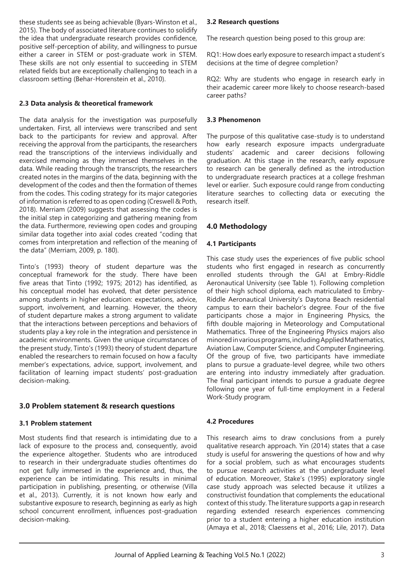these students see as being achievable (Byars-Winston et al., 2015). The body of associated literature continues to solidify the idea that undergraduate research provides confidence, positive self-perception of ability, and willingness to pursue either a career in STEM or post-graduate work in STEM. These skills are not only essential to succeeding in STEM related fields but are exceptionally challenging to teach in a classroom setting (Behar-Horenstein et al., 2010).

#### **2.3 Data analysis & theoretical framework**

The data analysis for the investigation was purposefully undertaken. First, all interviews were transcribed and sent back to the participants for review and approval. After receiving the approval from the participants, the researchers read the transcriptions of the interviews individually and exercised memoing as they immersed themselves in the data. While reading through the transcripts, the researchers created notes in the margins of the data, beginning with the development of the codes and then the formation of themes from the codes. This coding strategy for its major categories of information is referred to as open coding (Creswell & Poth, 2018). Merriam (2009) suggests that assessing the codes is the initial step in categorizing and gathering meaning from the data. Furthermore, reviewing open codes and grouping similar data together into axial codes created "coding that comes from interpretation and reflection of the meaning of the data" (Merriam, 2009, p. 180).

Tinto's (1993) theory of student departure was the conceptual framework for the study. There have been five areas that Tinto (1992; 1975; 2012) has identified, as his conceptual model has evolved, that deter persistence among students in higher education: expectations, advice, support, involvement, and learning. However, the theory of student departure makes a strong argument to validate that the interactions between perceptions and behaviors of students play a key role in the integration and persistence in academic environments. Given the unique circumstances of the present study, Tinto's (1993) theory of student departure enabled the researchers to remain focused on how a faculty member's expectations, advice, support, involvement, and facilitation of learning impact students' post-graduation decision-making.

### **3.0 Problem statement & research questions**

#### **3.1 Problem statement**

Most students find that research is intimidating due to a lack of exposure to the process and, consequently, avoid the experience altogether. Students who are introduced to research in their undergraduate studies oftentimes do not get fully immersed in the experience and, thus, the experience can be intimidating. This results in minimal participation in publishing, presenting, or otherwise (Villa et al., 2013). Currently, it is not known how early and substantive exposure to research, beginning as early as high school concurrent enrollment, influences post-graduation decision-making.

#### **3.2 Research questions**

The research question being posed to this group are:

RQ1: How does early exposure to research impact a student's decisions at the time of degree completion?

RQ2: Why are students who engage in research early in their academic career more likely to choose research-based career paths?

#### **3.3 Phenomenon**

The purpose of this qualitative case-study is to understand how early research exposure impacts undergraduate students' academic and career decisions following graduation. At this stage in the research, early exposure to research can be generally defined as the introduction to undergraduate research practices at a college freshman level or earlier. Such exposure could range from conducting literature searches to collecting data or executing the research itself.

### **4.0 Methodology**

#### **4.1 Participants**

This case study uses the experiences of five public school students who first engaged in research as concurrently enrolled students through the GAI at Embry-Riddle Aeronautical University (see Table 1). Following completion of their high school diploma, each matriculated to Embry-Riddle Aeronautical University's Daytona Beach residential campus to earn their bachelor's degree. Four of the five participants chose a major in Engineering Physics, the fifth double majoring in Meteorology and Computational Mathematics. Three of the Engineering Physics majors also minored in various programs, including Applied Mathematics, Aviation Law, Computer Science, and Computer Engineering. Of the group of five, two participants have immediate plans to pursue a graduate-level degree, while two others are entering into industry immediately after graduation. The final participant intends to pursue a graduate degree following one year of full-time employment in a Federal Work-Study program.

### **4.2 Procedures**

This research aims to draw conclusions from a purely qualitative research approach. Yin (2014) states that a case study is useful for answering the questions of how and why for a social problem, such as what encourages students to pursue research activities at the undergraduate level of education. Moreover, Stake's (1995) exploratory single case study approach was selected because it utilizes a constructivist foundation that complements the educational context of this study. The literature supports a gap in research regarding extended research experiences commencing prior to a student entering a higher education institution (Amaya et al., 2018; Claessens et al., 2016; Lile, 2017). Data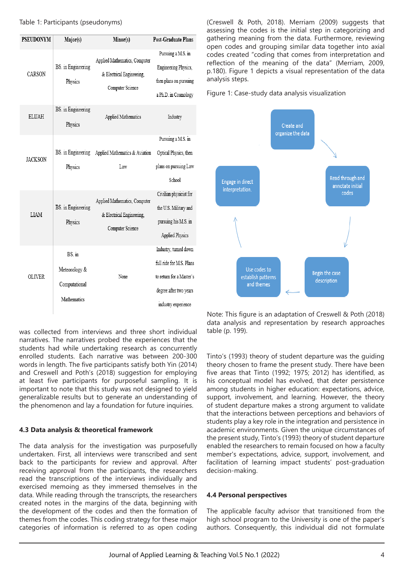| <b>PSEUDONYM</b> | Major(s)                                               | Minor(s)                                                                       | <b>Post-Graduate Plans</b>                                                                                                     |
|------------------|--------------------------------------------------------|--------------------------------------------------------------------------------|--------------------------------------------------------------------------------------------------------------------------------|
| CARSON           | BS. in Engineering<br>Physics                          | Applied Mathematics, Computer<br>& Electrical Engineering,<br>Computer Science | Pursuing a M.S. in<br>Engineering Physics,<br>then plans on pursuing<br>a Ph.D. in Cosmology                                   |
| <b>ELUAH</b>     | BS. in Engineering<br>Physics                          | Applied Mathematics                                                            | Industry                                                                                                                       |
| <b>JACKSON</b>   | BS. in Engineering<br>Physics                          | Applied Mathematics & Aviation<br>Law                                          | Pursuing a M.S. in<br>Optical Physics, then<br>plans on pursuing Law<br>School                                                 |
| LIAM             | BS. in Engineering<br>Physics                          | Applied Mathematics, Computer<br>& Electrical Engineering,<br>Computer Science | Civilian physicist for<br>the U.S. Military and<br>pursuing his M.S. in<br><b>Applied Physics</b>                              |
| OLIVER           | BS in<br>Meteorology &<br>Computational<br>Mathematics | None                                                                           | Industry, turned down<br>full ride for M.S. Plans<br>to return for a Master's<br>degree after two years<br>industry experience |

(Creswell & Poth, 2018). Merriam (2009) suggests that assessing the codes is the initial step in categorizing and gathering meaning from the data. Furthermore, reviewing open codes and grouping similar data together into axial codes created "coding that comes from interpretation and reflection of the meaning of the data" (Merriam, 2009, p.180). Figure 1 depicts a visual representation of the data analysis steps.

Figure 1: Case-study data analysis visualization



was collected from interviews and three short individual narratives. The narratives probed the experiences that the students had while undertaking research as concurrently enrolled students. Each narrative was between 200-300 words in length. The five participants satisfy both Yin (2014) and Creswell and Poth's (2018) suggestion for employing at least five participants for purposeful sampling. It is important to note that this study was not designed to yield generalizable results but to generate an understanding of the phenomenon and lay a foundation for future inquiries.

#### **4.3 Data analysis & theoretical framework**

The data analysis for the investigation was purposefully undertaken. First, all interviews were transcribed and sent back to the participants for review and approval. After receiving approval from the participants, the researchers read the transcriptions of the interviews individually and exercised memoing as they immersed themselves in the data. While reading through the transcripts, the researchers created notes in the margins of the data, beginning with the development of the codes and then the formation of themes from the codes. This coding strategy for these major categories of information is referred to as open coding

Note: This figure is an adaptation of Creswell & Poth (2018) data analysis and representation by research approaches table (p. 199).

Tinto's (1993) theory of student departure was the guiding theory chosen to frame the present study. There have been five areas that Tinto (1992; 1975; 2012) has identified, as his conceptual model has evolved, that deter persistence among students in higher education: expectations, advice, support, involvement, and learning. However, the theory of student departure makes a strong argument to validate that the interactions between perceptions and behaviors of students play a key role in the integration and persistence in academic environments. Given the unique circumstances of the present study, Tinto's (1993) theory of student departure enabled the researchers to remain focused on how a faculty member's expectations, advice, support, involvement, and facilitation of learning impact students' post-graduation decision-making.

#### **4.4 Personal perspectives**

The applicable faculty advisor that transitioned from the high school program to the University is one of the paper's authors. Consequently, this individual did not formulate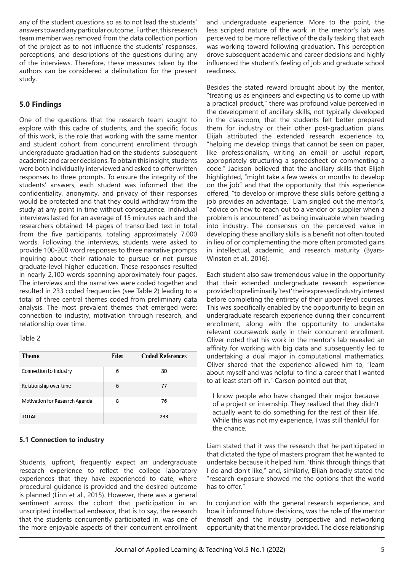any of the student questions so as to not lead the students' answers toward any particular outcome. Further, this research team member was removed from the data collection portion of the project as to not influence the students' responses, perceptions, and descriptions of the questions during any of the interviews. Therefore, these measures taken by the authors can be considered a delimitation for the present study.

# **5.0 Findings**

One of the questions that the research team sought to explore with this cadre of students, and the specific focus of this work, is the role that working with the same mentor and student cohort from concurrent enrollment through undergraduate graduation had on the students' subsequent academic and career decisions. To obtain this insight, students were both individually interviewed and asked to offer written responses to three prompts. To ensure the integrity of the students' answers, each student was informed that the confidentiality, anonymity, and privacy of their responses would be protected and that they could withdraw from the study at any point in time without consequence. Individual interviews lasted for an average of 15 minutes each and the researchers obtained 14 pages of transcribed text in total from the five participants, totaling approximately 7,000 words. Following the interviews, students were asked to provide 100-200 word responses to three narrative prompts inquiring about their rationale to pursue or not pursue graduate-level higher education. These responses resulted in nearly 2,100 words spanning approximately four pages. The interviews and the narratives were coded together and resulted in 233 coded frequencies (see Table 2) leading to a total of three central themes coded from preliminary data analysis. The most prevalent themes that emerged were: connection to industry, motivation through research, and relationship over time.

#### Table 2

| Theme                          | <b>Files</b> | <b>Coded References</b> |
|--------------------------------|--------------|-------------------------|
| Connection to Industry         | 6            | 80                      |
| Relationship over time         | 6            | 77                      |
| Motivation for Research Agenda | 8            | 76                      |
| TOTAL                          |              | 233                     |

#### **5.1 Connection to industry**

Students, upfront, frequently expect an undergraduate research experience to reflect the college laboratory experiences that they have experienced to date, where procedural guidance is provided and the desired outcome is planned (Linn et al., 2015). However, there was a general sentiment across the cohort that participation in an unscripted intellectual endeavor, that is to say, the research that the students concurrently participated in, was one of the more enjoyable aspects of their concurrent enrollment

and undergraduate experience. More to the point, the less scripted nature of the work in the mentor's lab was perceived to be more reflective of the daily tasking that each was working toward following graduation. This perception drove subsequent academic and career decisions and highly influenced the student's feeling of job and graduate school readiness.

Besides the stated reward brought about by the mentor, "treating us as engineers and expecting us to come up with a practical product," there was profound value perceived in the development of ancillary skills, not typically developed in the classroom, that the students felt better prepared them for industry or their other post-graduation plans. Elijah attributed the extended research experience to, "helping me develop things that cannot be seen on paper, like professionalism, writing an email or useful report, appropriately structuring a spreadsheet or commenting a code." Jackson believed that the ancillary skills that Elijah highlighted, "might take a few weeks or months to develop on the job" and that the opportunity that this experience offered, "to develop or improve these skills before getting a job provides an advantage." Liam singled out the mentor's, "advice on how to reach out to a vendor or supplier when a problem is encountered" as being invaluable when heading into industry. The consensus on the perceived value in developing these ancillary skills is a benefit not often touted in lieu of or complementing the more often promoted gains in intellectual, academic, and research maturity (Byars-Winston et al., 2016).

Each student also saw tremendous value in the opportunity that their extended undergraduate research experience provided to preliminarily 'test' their expressed industry interest before completing the entirety of their upper-level courses. This was specifically enabled by the opportunity to begin an undergraduate research experience during their concurrent enrollment, along with the opportunity to undertake relevant coursework early in their concurrent enrollment. Oliver noted that his work in the mentor's lab revealed an affinity for working with big data and subsequently led to undertaking a dual major in computational mathematics. Oliver shared that the experience allowed him to, "learn about myself and was helpful to find a career that I wanted to at least start off in." Carson pointed out that,

I know people who have changed their major because of a project or internship. They realized that they didn't actually want to do something for the rest of their life. While this was not my experience, I was still thankful for the chance.

Liam stated that it was the research that he participated in that dictated the type of masters program that he wanted to undertake because it helped him, 'think through things that I do and don't like," and, similarly, Elijah broadly stated the "research exposure showed me the options that the world has to offer."

In conjunction with the general research experience, and how it informed future decisions, was the role of the mentor themself and the industry perspective and networking opportunity that the mentor provided. The close relationship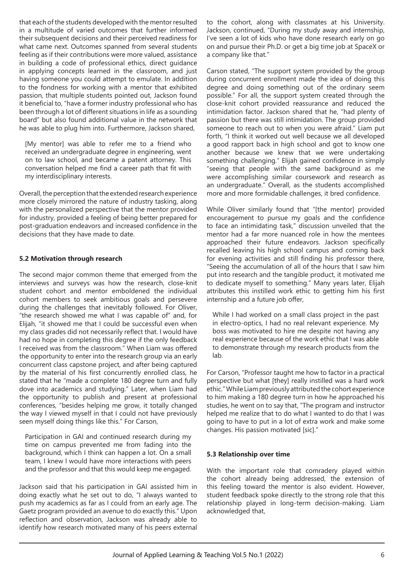that each of the students developed with the mentor resulted in a multitude of varied outcomes that further informed their subsequent decisions and their perceived readiness for what came next. Outcomes spanned from several students feeling as if their contributions were more valued, assistance in building a code of professional ethics, direct guidance in applying concepts learned in the classroom, and just having someone you could attempt to emulate. In addition to the fondness for working with a mentor that exhibited passion, that multiple students pointed out, Jackson found it beneficial to, "have a former industry professional who has been through a lot of different situations in life as a sounding board" but also found additional value in the network that he was able to plug him into. Furthermore, Jackson shared,

[My mentor] was able to refer me to a friend who received an undergraduate degree in engineering, went on to law school, and became a patent attorney. This conversation helped me find a career path that fit with my interdisciplinary interests.

Overall, the perception that the extended research experience more closely mirrored the nature of industry tasking, along with the personalized perspective that the mentor provided for industry, provided a feeling of being better prepared for post-graduation endeavors and increased confidence in the decisions that they have made to date.

#### **5.2 Motivation through research**

The second major common theme that emerged from the interviews and surveys was how the research, close-knit student cohort and mentor emboldened the individual cohort members to seek ambitious goals and persevere during the challenges that inevitably followed. For Oliver, "the research showed me what I was capable of" and, for Elijah, "it showed me that I could be successful even when my class grades did not necessarily reflect that. I would have had no hope in completing this degree if the only feedback I received was from the classroom." When Liam was offered the opportunity to enter into the research group via an early concurrent class capstone project, and after being captured by the material of his first concurrently enrolled class, he stated that he "made a complete 180 degree turn and fully dove into academics and studying." Later, when Liam had the opportunity to publish and present at professional conferences, "besides helping me grow, it totally changed the way I viewed myself in that I could not have previously seen myself doing things like this." For Carson,

Participation in GAI and continued research during my time on campus prevented me from fading into the background, which I think can happen a lot. On a small team, I knew I would have more interactions with peers and the professor and that this would keep me engaged.

Jackson said that his participation in GAI assisted him in doing exactly what he set out to do, "I always wanted to push my academics as far as I could from an early age. The Gaetz program provided an avenue to do exactly this." Upon reflection and observation, Jackson was already able to identify how research motivated many of his peers external

to the cohort, along with classmates at his University. Jackson, continued, "During my study away and internship, I've seen a lot of kids who have done research early on go on and pursue their Ph.D. or get a big time job at SpaceX or a company like that."

Carson stated, "The support system provided by the group during concurrent enrollment made the idea of doing this degree and doing something out of the ordinary seem possible." For all, the support system created through the close-knit cohort provided reassurance and reduced the intimidation factor. Jackson shared that he, "had plenty of passion but there was still intimidation. The group provided someone to reach out to when you were afraid." Liam put forth, "I think it worked out well because we all developed a good rapport back in high school and got to know one another because we knew that we were undertaking something challenging." Elijah gained confidence in simply "seeing that people with the same background as me were accomplishing similar coursework and research as an undergraduate." Overall, as the students accomplished more and more formidable challenges, it bred confidence.

While Oliver similarly found that "[the mentor] provided encouragement to pursue my goals and the confidence to face an intimidating task," discussion unveiled that the mentor had a far more nuanced role in how the mentees approached their future endeavors. Jackson specifically recalled leaving his high school campus and coming back for evening activities and still finding his professor there, "Seeing the accumulation of all of the hours that I saw him put into research and the tangible product, it motivated me to dedicate myself to something." Many years later, Elijah attributes this instilled work ethic to getting him his first internship and a future job offer,

While I had worked on a small class project in the past in electro-optics, I had no real relevant experience. My boss was motivated to hire me despite not having any real experience because of the work ethic that I was able to demonstrate through my research products from the lab.

For Carson, "Professor taught me how to factor in a practical perspective but what [they] really instilled was a hard work ethic." While Liam previously attributed the cohort experience to him making a 180 degree turn in how he approached his studies, he went on to say that, "The program and instructor helped me realize that to do what I wanted to do that I was going to have to put in a lot of extra work and make some changes. His passion motivated [sic]."

# **5.3 Relationship over time**

With the important role that comradery played within the cohort already being addressed, the extension of this feeling toward the mentor is also evident. However, student feedback spoke directly to the strong role that this relationship played in long-term decision-making. Liam acknowledged that,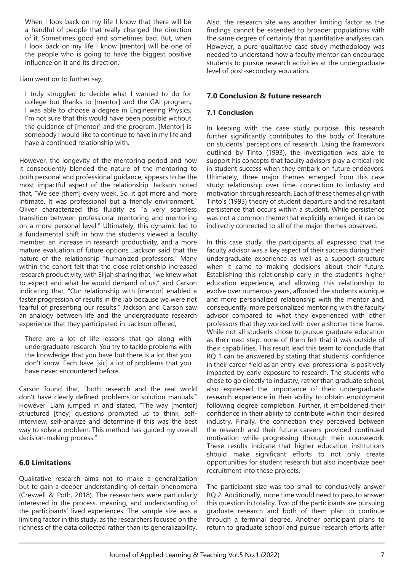When I look back on my life I know that there will be a handful of people that really changed the direction of it. Sometimes good and sometimes bad. But, when I look back on my life I know [mentor] will be one of the people who is going to have the biggest positive influence on it and its direction.

Liam went on to further say,

I truly struggled to decide what I wanted to do for college but thanks to [mentor] and the GAI program, I was able to choose a degree in Engineering Physics. I'm not sure that this would have been possible without the guidance of [mentor] and the program. [Mentor] is somebody I would like to continue to have in my life and have a continued relationship with.

However, the longevity of the mentoring period and how it consequently blended the nature of the mentoring to both personal and professional guidance, appears to be the most impactful aspect of the relationship. Jackson noted that, "We see [them] every week. So, it got more and more intimate. It was professional but a friendly environment." Oliver characterized this fluidity as "a very seamless transition between professional mentoring and mentoring on a more personal level." Ultimately, this dynamic led to a fundamental shift in how the students viewed a faculty member, an increase in research productivity, and a more mature evaluation of future options. Jackson said that the nature of the relationship "humanized professors." Many within the cohort felt that the close relationship increased research productivity, with Elijah sharing that, "we knew what to expect and what he would demand of us," and Carson indicating that, "Our relationship with [mentor] enabled a faster progression of results in the lab because we were not fearful of presenting our results." Jackson and Carson saw an analogy between life and the undergraduate research experience that they participated in. Jackson offered,

There are a lot of life lessons that go along with undergraduate research. You try to tackle problems with the knowledge that you have but there is a lot that you don't know. Each have [sic] a lot of problems that you have never encountered before.

Carson found that, "both research and the real world don't have clearly defined problems or solution manuals." However, Liam jumped in and stated, "The way [mentor] structured [they] questions prompted us to think, selfinterview, self-analyze and determine if this was the best way to solve a problem. This method has guided my overall decision-making process."

# **6.0 Limitations**

Qualitative research aims not to make a generalization but to gain a deeper understanding of certain phenomena (Creswell & Poth, 2018). The researchers were particularly interested in the process, meaning, and understanding of the participants' lived experiences. The sample size was a limiting factor in this study, as the researchers focused on the richness of the data collected rather than its generalizability.

Also, the research site was another limiting factor as the findings cannot be extended to broader populations with the same degree of certainty that quantitative analyses can. However, a pure qualitative case study methodology was needed to understand how a faculty mentor can encourage students to pursue research activities at the undergraduate level of post-secondary education.

## **7.0 Conclusion & future research**

### **7.1 Conclusion**

In keeping with the case study purpose, this research further significantly contributes to the body of literature on students' perceptions of research. Using the framework outlined by Tinto (1993), the investigation was able to support his concepts that faculty advisors play a critical role in student success when they embark on future endeavors. Ultimately, three major themes emerged from this case study: relationship over time, connection to industry and motivation through research. Each of these themes align with Tinto's (1993) theory of student departure and the resultant persistence that occurs within a student. While persistence was not a common theme that explicitly emerged, it can be indirectly connected to all of the major themes observed.

In this case study, the participants all expressed that the faculty advisor was a key aspect of their success during their undergraduate experience as well as a support structure when it came to making decisions about their future. Establishing this relationship early in the student's higher education experience, and allowing this relationship to evolve over numerous years, afforded the students a unique and more personalized relationship with the mentor and, consequently, more personalized mentoring with the faculty advisor compared to what they experienced with other professors that they worked with over a shorter time frame. While not all students chose to pursue graduate education as their next step, none of them felt that it was outside of their capabilities. This result lead this team to conclude that RQ 1 can be answered by stating that students' confidence in their career field as an entry level professional is positively impacted by early exposure to research. The students who chose to go directly to industry, rather than graduate school, also expressed the importance of their undergraduate research experience in their ability to obtain employment following degree completion. Further, it emboldened their confidence in their ability to contribute within their desired industry. Finally, the connection they perceived between the research and their future careers provided continued motivation while progressing through their coursework. These results indicate that higher education institutions should make significant efforts to not only create opportunities for student research but also incentivize peer recruitment into these projects.

The participant size was too small to conclusively answer RQ 2. Additionally, more time would need to pass to answer this question in totality. Two of the participants are pursuing graduate research and both of them plan to continue through a terminal degree. Another participant plans to return to graduate school and pursue research efforts after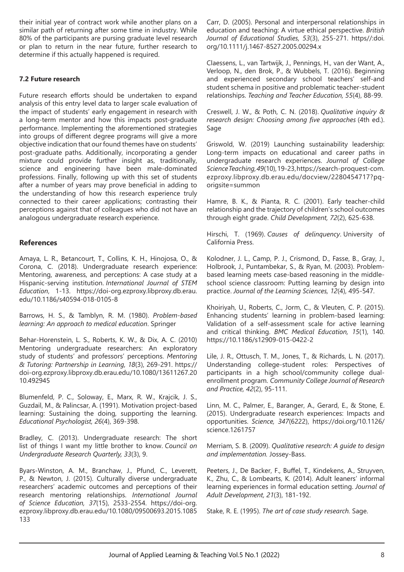their initial year of contract work while another plans on a similar path of returning after some time in industry. While 80% of the participants are pursing graduate level research or plan to return in the near future, further research to determine if this actually happened is required.

#### **7.2 Future research**

Future research efforts should be undertaken to expand analysis of this entry level data to larger scale evaluation of the impact of students' early engagement in research with a long-term mentor and how this impacts post-graduate performance. Implementing the aforementioned strategies into groups of different degree programs will give a more objective indication that our found themes have on students' post-graduate paths. Additionally, incorporating a gender mixture could provide further insight as, traditionally, science and engineering have been male-dominated professions. Finally, following up with this set of students after a number of years may prove beneficial in adding to the understanding of how this research experience truly connected to their career applications; contrasting their perceptions against that of colleagues who did not have an analogous undergraduate research experience.

#### **References**

Amaya, L. R., Betancourt, T., Collins, K. H., Hinojosa, O., & Corona, C. (2018). Undergraduate research experience: Mentoring, awareness, and perceptions: A case study at a Hispanic-serving institution. *International Journal of STEM Education*, 1-13. https://doi-org.ezproxy.libproxy.db.erau. edu/10.1186/s40594-018-0105-8

Barrows, H. S., & Tamblyn, R. M. (1980). *Problem-based learning: An approach to medical education*. Springer

Behar-Horenstein, L. S., Roberts, K. W., & Dix, A. C. (2010) Mentoring undergraduate researchers: An exploratory study of students' and professors' perceptions. *Mentoring & Tutoring: Partnership in Learning, 18*(3), 269-291. https:// doi-org.ezproxy.libproxy.db.erau.edu/10.1080/13611267.20 10.492945

Blumenfeld, P. C., Soloway, E., Marx, R. W., Krajcik, J. S., Guzdail, M., & Palincsar, A. (1991). Motivation project-based learning: Sustaining the doing, supporting the learning. *Educational Psychologist, 26*(4), 369-398.

Bradley, C. (2013). Undergraduate research: The short list of things I want my little brother to know. *Council on Undergraduate Research Quarterly, 33*(3), 9.

Byars-Winston, A. M., Branchaw, J., Pfund, C., Leverett, P., & Newton, J. (2015). Culturally diverse undergraduate researchers' academic outcomes and perceptions of their research mentoring relationships. *International Journal of Science Education, 37*(15), 2533-2554. https://doi-org. ezproxy.libproxy.db.erau.edu/10.1080/09500693.2015.1085 133

Carr, D. (2005). Personal and interpersonal relationships in education and teaching: A virtue ethical perspective. *British Journal of Educational Studies, 53*(3), 255-271. https//:doi. org/10.1111/j.1467-8527.2005.00294.x

Claessens, L., van Tartwijk, J., Pennings, H., van der Want, A., Verloop, N., den Brok, P., & Wubbels, T. (2016). Beginning and experienced secondary school teachers' self-and student schema in positive and problematic teacher-student relationships. *Teaching and Teacher Education, 55*(4), 88-99.

Creswell, J. W., & Poth, C. N. (2018). *Qualitative inquiry & research design: Choosing among five approaches* (4th ed.). Sage

Griswold, W. (2019) Launching sustainability leadership: Long-term impacts on educational and career paths in undergraduate research experiences. *Journal of College Science Teaching, 49*(10), 19-23, https://search-proquest-com. ezproxy.libproxy.db.erau.edu/docview/2280454717?pqorigsite=summon

Hamre, B. K., & Pianta, R. C. (2001). Early teacher-child relationship and the trajectory of children's school outcomes through eight grade. *Child Development, 72*(2), 625-638.

Hirschi, T. (1969). *Causes of delinquency*. University of California Press.

Kolodner, J. L., Camp, P. J., Crismond, D., Fasse, B., Gray, J., Holbrook, J., Puntambekar, S., & Ryan, M. (2003). Problembased learning meets case-based reasoning in the middleschool science classroom: Putting learning by design into practice. *Journal of the Learning Sciences, 12*(4), 495-547.

Khoiriyah, U., Roberts, C., Jorm, C., & Vleuten, C. P. (2015). Enhancing students' learning in problem-based learning: Validation of a self-assessment scale for active learning and critical thinking. *BMC Medical Education, 15*(1), 140. https://10.1186/s12909-015-0422-2

Lile, J. R., Ottusch, T. M., Jones, T., & Richards, L. N. (2017). Understanding college-student roles: Perspectives of participants in a high school/community college dualenrollment program. *Community College Journal of Research and Practice, 42*(2), 95-111.

Linn, M. C., Palmer, E., Baranger, A., Gerard, E., & Stone, E. (2015). Undergraduate research experiences: Impacts and opportunities. *Science, 347*(6222), https://doi.org/10.1126/ science.1261757

Merriam, S. B. (2009). *Qualitative research: A guide to design and implementation.* Jossey-Bass.

Peeters, J., De Backer, F., Buffel, T., Kindekens, A., Struyven, K., Zhu, C., & Lombearts, K. (2014). Adult leaners' informal learning experiences in formal education setting. *Journal of Adult Development, 21*(3), 181-192.

Stake, R. E. (1995). *The art of case study research.* Sage.